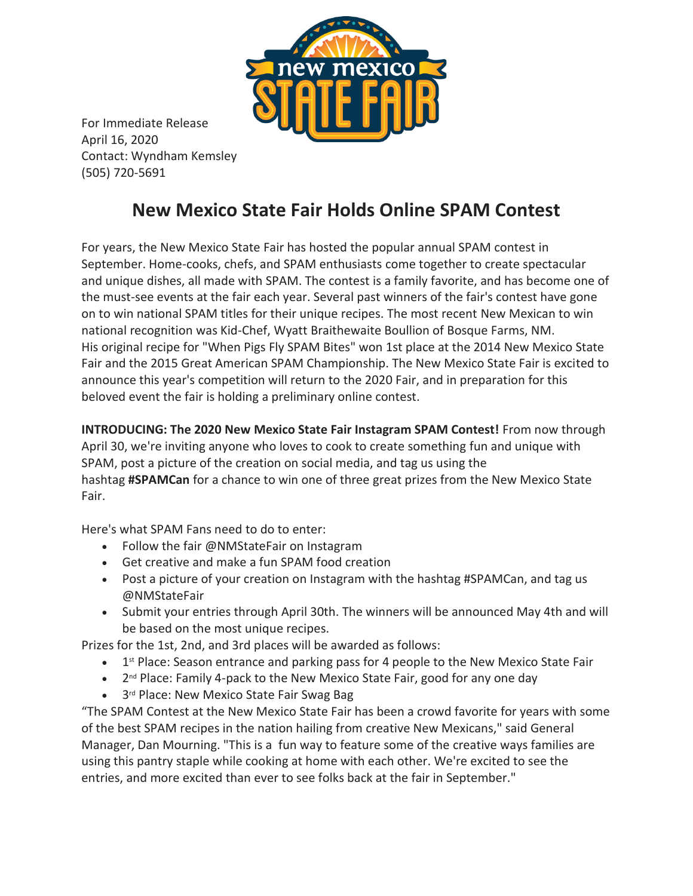

For Immediate Release April 16, 2020 Contact: Wyndham Kemsley (505) 720-5691

## **New Mexico State Fair Holds Online SPAM Contest**

For years, the New Mexico State Fair has hosted the popular annual SPAM contest in September. Home-cooks, chefs, and SPAM enthusiasts come together to create spectacular and unique dishes, all made with SPAM. The contest is a family favorite, and has become one of the must-see events at the fair each year. Several past winners of the fair's contest have gone on to win national SPAM titles for their unique recipes. The most recent New Mexican to win national recognition was Kid-Chef, Wyatt Braithewaite Boullion of Bosque Farms, NM. His original recipe for "When Pigs Fly SPAM Bites" won 1st place at the 2014 New Mexico State Fair and the 2015 Great American SPAM Championship. The New Mexico State Fair is excited to announce this year's competition will return to the 2020 Fair, and in preparation for this beloved event the fair is holding a preliminary online contest.

**INTRODUCING: The 2020 New Mexico State Fair Instagram SPAM Contest!** From now through April 30, we're inviting anyone who loves to cook to create something fun and unique with SPAM, post a picture of the creation on social media, and tag us using the hashtag **#SPAMCan** for a chance to win one of three great prizes from the New Mexico State Fair.

Here's what SPAM Fans need to do to enter:

- Follow the fair @NMStateFair on Instagram
- Get creative and make a fun SPAM food creation
- Post a picture of your creation on Instagram with the hashtag #SPAMCan, and tag us @NMStateFair
- Submit your entries through April 30th. The winners will be announced May 4th and will be based on the most unique recipes.

Prizes for the 1st, 2nd, and 3rd places will be awarded as follows:

- 1<sup>st</sup> Place: Season entrance and parking pass for 4 people to the New Mexico State Fair
- 2<sup>nd</sup> Place: Family 4-pack to the New Mexico State Fair, good for any one day
- 3<sup>rd</sup> Place: New Mexico State Fair Swag Bag

"The SPAM Contest at the New Mexico State Fair has been a crowd favorite for years with some of the best SPAM recipes in the nation hailing from creative New Mexicans," said General Manager, Dan Mourning. "This is a fun way to feature some of the creative ways families are using this pantry staple while cooking at home with each other. We're excited to see the entries, and more excited than ever to see folks back at the fair in September."